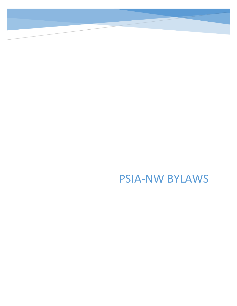PSIA-NW BYLAWS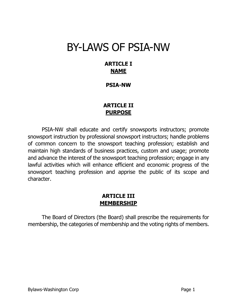# BY-LAWS OF PSIA-NW

# **ARTICLE I NAME**

#### **PSIA-NW**

# **ARTICLE II PURPOSE**

PSIA-NW shall educate and certify snowsports instructors; promote snowsport instruction by professional snowsport instructors; handle problems of common concern to the snowsport teaching profession; establish and maintain high standards of business practices, custom and usage; promote and advance the interest of the snowsport teaching profession; engage in any lawful activities which will enhance efficient and economic progress of the snowsport teaching profession and apprise the public of its scope and character.

### **ARTICLE III MEMBERSHIP**

The Board of Directors (the Board) shall prescribe the requirements for membership, the categories of membership and the voting rights of members.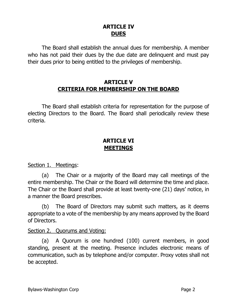# **ARTICLE IV DUES**

The Board shall establish the annual dues for membership. A member who has not paid their dues by the due date are delinquent and must pay their dues prior to being entitled to the privileges of membership.

### **ARTICLE V CRITERIA FOR MEMBERSHIP ON THE BOARD**

The Board shall establish criteria for representation for the purpose of electing Directors to the Board. The Board shall periodically review these criteria.

# **ARTICLE VI MEETINGS**

Section 1. Meetings:

(a) The Chair or a majority of the Board may call meetings of the entire membership. The Chair or the Board will determine the time and place. The Chair or the Board shall provide at least twenty-one (21) days' notice, in a manner the Board prescribes.

(b) The Board of Directors may submit such matters, as it deems appropriate to a vote of the membership by any means approved by the Board of Directors.

#### Section 2. Quorums and Voting:

(a) A Quorum is one hundred (100) current members, in good standing, present at the meeting. Presence includes electronic means of communication, such as by telephone and/or computer. Proxy votes shall not be accepted.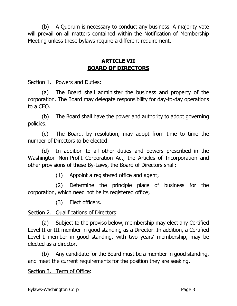(b) A Quorum is necessary to conduct any business. A majority vote will prevail on all matters contained within the Notification of Membership Meeting unless these bylaws require a different requirement.

# **ARTICLE VII BOARD OF DIRECTORS**

Section 1. Powers and Duties:

(a) The Board shall administer the business and property of the corporation. The Board may delegate responsibility for day-to-day operations to a CEO.

(b) The Board shall have the power and authority to adopt governing policies.

(c) The Board, by resolution, may adopt from time to time the number of Directors to be elected.

(d) In addition to all other duties and powers prescribed in the Washington Non-Profit Corporation Act, the Articles of Incorporation and other provisions of these By-Laws, the Board of Directors shall:

(1) Appoint a registered office and agent;

(2) Determine the principle place of business for the corporation, which need not be its registered office;

(3) Elect officers.

Section 2. Qualifications of Directors:

(a) Subject to the proviso below, membership may elect any Certified Level II or III member in good standing as a Director. In addition, a Certified Level I member in good standing, with two years' membership, may be elected as a director.

(b) Any candidate for the Board must be a member in good standing, and meet the current requirements for the position they are seeking.

Section 3. Term of Office: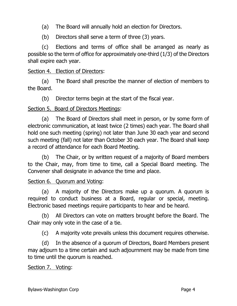- (a) The Board will annually hold an election for Directors.
- (b) Directors shall serve a term of three (3) years.

(c) Elections and terms of office shall be arranged as nearly as possible so the term of office for approximately one-third (1/3) of the Directors shall expire each year.

#### Section 4. Election of Directors:

(a) The Board shall prescribe the manner of election of members to the Board.

(b) Director terms begin at the start of the fiscal year.

#### Section 5. Board of Directors Meetings:

(a) The Board of Directors shall meet in person, or by some form of electronic communication, at least twice (2 times) each year. The Board shall hold one such meeting (spring) not later than June 30 each year and second such meeting (fall) not later than October 30 each year. The Board shall keep a record of attendance for each Board Meeting.

(b) The Chair, or by written request of a majority of Board members to the Chair, may, from time to time, call a Special Board meeting. The Convener shall designate in advance the time and place.

#### Section 6. Quorum and Voting:

(a) A majority of the Directors make up a quorum. A quorum is required to conduct business at a Board, regular or special, meeting. Electronic based meetings require participants to hear and be heard.

(b) All Directors can vote on matters brought before the Board. The Chair may only vote in the case of a tie.

(c) A majority vote prevails unless this document requires otherwise.

(d) In the absence of a quorum of Directors, Board Members present may adjourn to a time certain and such adjournment may be made from time to time until the quorum is reached.

#### Section 7. Voting: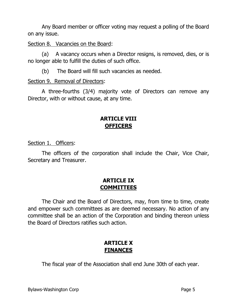Any Board member or officer voting may request a polling of the Board on any issue.

Section 8. Vacancies on the Board:

(a) A vacancy occurs when a Director resigns, is removed, dies, or is no longer able to fulfill the duties of such office.

(b) The Board will fill such vacancies as needed.

#### Section 9. Removal of Directors:

A three-fourths (3/4) majority vote of Directors can remove any Director, with or without cause, at any time.

## **ARTICLE VIII OFFICERS**

Section 1. Officers:

The officers of the corporation shall include the Chair, Vice Chair, Secretary and Treasurer.

# **ARTICLE IX COMMITTEES**

The Chair and the Board of Directors, may, from time to time, create and empower such committees as are deemed necessary. No action of any committee shall be an action of the Corporation and binding thereon unless the Board of Directors ratifies such action.

# **ARTICLE X FINANCES**

The fiscal year of the Association shall end June 30th of each year.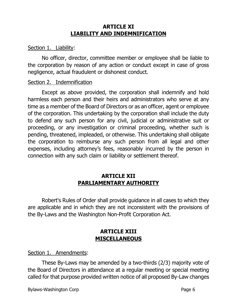# **ARTICLE XI LIABILITY AND INDEMNIFICATION**

#### Section 1. Liability:

No officer, director, committee member or employee shall be liable to the corporation by reason of any action or conduct except in case of gross negligence, actual fraudulent or dishonest conduct.

#### Section 2. Indemnification

Except as above provided, the corporation shall indemnify and hold harmless each person and their heirs and administrators who serve at any time as a member of the Board of Directors or as an officer, agent or employee of the corporation. This undertaking by the corporation shall include the duty to defend any such person for any civil, judicial or administrative suit or proceeding, or any investigation or criminal proceeding, whether such is pending, threatened, impleaded, or otherwise. This undertaking shall obligate the corporation to reimburse any such person from all legal and other expenses, including attorney's fees, reasonably incurred by the person in connection with any such claim or liability or settlement thereof.

# **ARTICLE XII PARLIAMENTARY AUTHORITY**

Robert's Rules of Order shall provide guidance in all cases to which they are applicable and in which they are not inconsistent with the provisions of the By-Laws and the Washington Non-Profit Corporation Act.

# **ARTICLE XIII MISCELLANEOUS**

Section 1. Amendments:

These By-Laws may be amended by a two-thirds (2/3) majority vote of the Board of Directors in attendance at a regular meeting or special meeting called for that purpose provided written notice of all proposed By-Law changes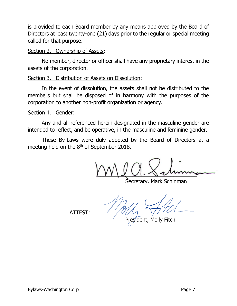is provided to each Board member by any means approved by the Board of Directors at least twenty-one (21) days prior to the regular or special meeting called for that purpose.

#### Section 2. Ownership of Assets:

No member, director or officer shall have any proprietary interest in the assets of the corporation.

#### Section 3. Distribution of Assets on Dissolution:

In the event of dissolution, the assets shall not be distributed to the members but shall be disposed of in harmony with the purposes of the corporation to another non-profit organization or agency.

#### Section 4. Gender:

Any and all referenced herein designated in the masculine gender are intended to reflect, and be operative, in the masculine and feminine gender.

These By-Laws were duly adopted by the Board of Directors at a meeting held on the 8<sup>th</sup> of September 2018.

 $UVUU.0$ 

Secretary, Mark Schinman

 $ATTEST:$ 

President, Molly Fitch